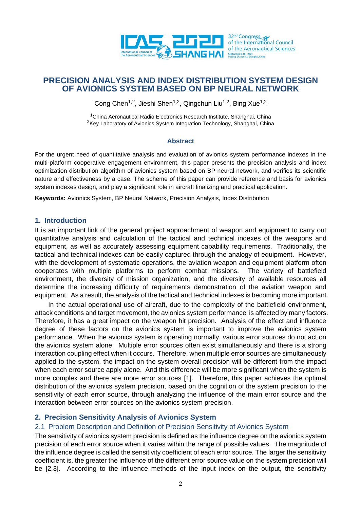

# **PRECISION ANALYSIS AND INDEX DISTRIBUTION SYSTEM DESIGN OF AVIONICS SYSTEM BASED ON BP NEURAL NETWORK**

Cong Chen<sup>1,2</sup>, Jieshi Shen<sup>1,2</sup>, Qingchun Liu<sup>1,2</sup>, Bing Xue<sup>1,2</sup>

<sup>1</sup>China Aeronautical Radio Electronics Research Institute, Shanghai, China <sup>2</sup>Key Laboratory of Avionics System Integration Technology, Shanghai, China

#### **Abstract**

For the urgent need of quantitative analysis and evaluation of avionics system performance indexes in the multi-platform cooperative engagement environment, this paper presents the precision analysis and index optimization distribution algorithm of avionics system based on BP neural network, and verifies its scientific nature and effectiveness by a case. The scheme of this paper can provide reference and basis for avionics system indexes design, and play a significant role in aircraft finalizing and practical application.

**Keywords:** Avionics System, BP Neural Network, Precision Analysis, Index Distribution

#### **1. Introduction**

It is an important link of the general project approachment of weapon and equipment to carry out quantitative analysis and calculation of the tactical and technical indexes of the weapons and equipment, as well as accurately assessing equipment capability requirements. Traditionally, the tactical and technical indexes can be easily captured through the analogy of equipment. However, with the development of systematic operations, the aviation weapon and equipment platform often cooperates with multiple platforms to perform combat missions. The variety of battlefield environment, the diversity of mission organization, and the diversity of available resources all determine the increasing difficulty of requirements demonstration of the aviation weapon and equipment. As a result, the analysis of the tactical and technical indexes is becoming more important.

In the actual operational use of aircraft, due to the complexity of the battlefield environment, attack conditions and target movement, the avionics system performance is affected by many factors. Therefore, it has a great impact on the weapon hit precision. Analysis of the effect and influence degree of these factors on the avionics system is important to improve the avionics system performance. When the avionics system is operating normally, various error sources do not act on the avionics system alone. Multiple error sources often exist simultaneously and there is a strong interaction coupling effect when it occurs. Therefore, when multiple error sources are simultaneously applied to the system, the impact on the system overall precision will be different from the impact when each error source apply alone. And this difference will be more significant when the system is more complex and there are more error sources [1]. Therefore, this paper achieves the optimal distribution of the avionics system precision, based on the cognition of the system precision to the sensitivity of each error source, through analyzing the influence of the main error source and the interaction between error sources on the avionics system precision.

# **2. Precision Sensitivity Analysis of Avionics System**

### 2.1 Problem Description and Definition of Precision Sensitivity of Avionics System

The sensitivity of avionics system precision is defined as the influence degree on the avionics system precision of each error source when it varies within the range of possible values. The magnitude of the influence degree is called the sensitivity coefficient of each error source. The larger the sensitivity coefficient is, the greater the influence of the different error source value on the system precision will be [2,3]. According to the influence methods of the input index on the output, the sensitivity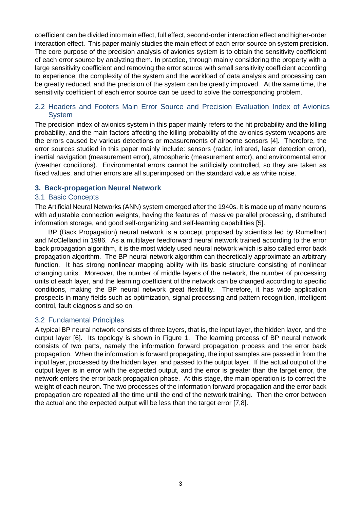coefficient can be divided into main effect, full effect, second-order interaction effect and higher-order interaction effect. This paper mainly studies the main effect of each error source on system precision. The core purpose of the precision analysis of avionics system is to obtain the sensitivity coefficient of each error source by analyzing them. In practice, through mainly considering the property with a large sensitivity coefficient and removing the error source with small sensitivity coefficient according to experience, the complexity of the system and the workload of data analysis and processing can be greatly reduced, and the precision of the system can be greatly improved. At the same time, the sensitivity coefficient of each error source can be used to solve the corresponding problem.

# 2.2 Headers and Footers Main Error Source and Precision Evaluation Index of Avionics System

The precision index of avionics system in this paper mainly refers to the hit probability and the killing probability, and the main factors affecting the killing probability of the avionics system weapons are the errors caused by various detections or measurements of airborne sensors [4]. Therefore, the error sources studied in this paper mainly include: sensors (radar, infrared, laser detection error), inertial navigation (measurement error), atmospheric (measurement error), and environmental error (weather conditions). Environmental errors cannot be artificially controlled, so they are taken as fixed values, and other errors are all superimposed on the standard value as white noise.

### **3. Back-propagation Neural Network**

### 3.1 Basic Concepts

The Artificial Neural Networks (ANN) system emerged after the 1940s. It is made up of many neurons with adjustable connection weights, having the features of massive parallel processing, distributed information storage, and good self-organizing and self-learning capabilities [5].

BP (Back Propagation) neural network is a concept proposed by scientists led by Rumelhart and McClelland in 1986. As a multilayer feedforward neural network trained according to the error back propagation algorithm, it is the most widely used neural network which is also called error back propagation algorithm. The BP neural network algorithm can theoretically approximate an arbitrary function. It has strong nonlinear mapping ability with its basic structure consisting of nonlinear changing units. Moreover, the number of middle layers of the network, the number of processing units of each layer, and the learning coefficient of the network can be changed according to specific conditions, making the BP neural network great flexibility. Therefore, it has wide application prospects in many fields such as optimization, signal processing and pattern recognition, intelligent control, fault diagnosis and so on.

# 3.2 Fundamental Principles

A typical BP neural network consists of three layers, that is, the input layer, the hidden layer, and the output layer [6]. Its topology is shown in Figure 1. The learning process of BP neural network consists of two parts, namely the information forward propagation process and the error back propagation. When the information is forward propagating, the input samples are passed in from the input layer, processed by the hidden layer, and passed to the output layer. If the actual output of the output layer is in error with the expected output, and the error is greater than the target error, the network enters the error back propagation phase. At this stage, the main operation is to correct the weight of each neuron. The two processes of the information forward propagation and the error back propagation are repeated all the time until the end of the network training. Then the error between the actual and the expected output will be less than the target error [7,8].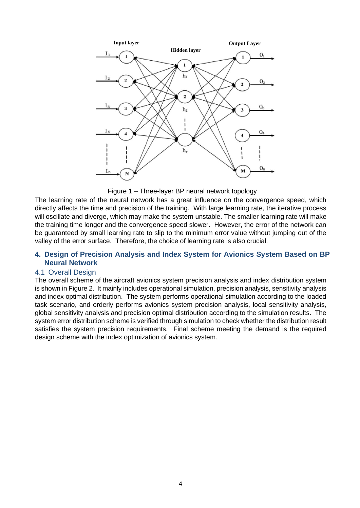

Figure 1 – Three-layer BP neural network topology

The learning rate of the neural network has a great influence on the convergence speed, which directly affects the time and precision of the training. With large learning rate, the iterative process will oscillate and diverge, which may make the system unstable. The smaller learning rate will make the training time longer and the convergence speed slower. However, the error of the network can be guaranteed by small learning rate to slip to the minimum error value without jumping out of the valley of the error surface. Therefore, the choice of learning rate is also crucial.

### **4. Design of Precision Analysis and Index System for Avionics System Based on BP Neural Network**

### 4.1 Overall Design

The overall scheme of the aircraft avionics system precision analysis and index distribution system is shown in Figure 2. It mainly includes operational simulation, precision analysis, sensitivity analysis and index optimal distribution. The system performs operational simulation according to the loaded task scenario, and orderly performs avionics system precision analysis, local sensitivity analysis, global sensitivity analysis and precision optimal distribution according to the simulation results. The system error distribution scheme is verified through simulation to check whether the distribution result satisfies the system precision requirements. Final scheme meeting the demand is the required design scheme with the index optimization of avionics system.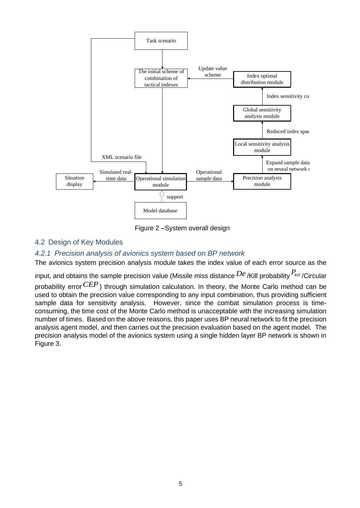

Figure 2 –System overall design

# 4.2 Design of Key Modules

# *4.2.1 Precision analysis of avionics system based on BP network*

The avionics system precision analysis module takes the index value of each error source as the

input, and obtains the sample precision value (Missile miss distance  $De$  /Kill probability  ${}^{P_{kill}}$ /Circular

probability error $\it CEP$  ) through simulation calculation. In theory, the Monte Carlo method can be used to obtain the precision value corresponding to any input combination, thus providing sufficient sample data for sensitivity analysis. However, since the combat simulation process is timeconsuming, the time cost of the Monte Carlo method is unacceptable with the increasing simulation number of times. Based on the above reasons, this paper uses BP neural network to fit the precision analysis agent model, and then carries out the precision evaluation based on the agent model. The precision analysis model of the avionics system using a single hidden layer BP network is shown in Figure 3.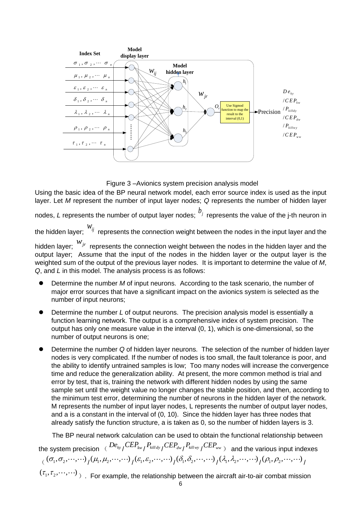

Figure 3 –Avionics system precision analysis model

Using the basic idea of the BP neural network model, each error source index is used as the input layer. Let *M* represent the number of input layer nodes; *Q* represents the number of hidden layer

nodes, *L* represents the number of output layer nodes;  $b_j$  represents the value of the j-th neuron in

the hidden layer; *wij* represents the connection weight between the nodes in the input layer and the

hidden layer; *wjr* represents the connection weight between the nodes in the hidden layer and the output layer; Assume that the input of the nodes in the hidden layer or the output layer is the weighted sum of the output of the previous layer nodes. It is important to determine the value of *M*, *Q*, and *L* in this model. The analysis process is as follows:

- Determine the number *M* of input neurons. According to the task scenario, the number of major error sources that have a significant impact on the avionics system is selected as the number of input neurons;
- ⚫ Determine the number *L* of output neurons. The precision analysis model is essentially a function learning network. The output is a comprehensive index of system precision. The output has only one measure value in the interval (0, 1), which is one-dimensional, so the number of output neurons is one;
- ⚫ Determine the number *Q* of hidden layer neurons. The selection of the number of hidden layer nodes is very complicated. If the number of nodes is too small, the fault tolerance is poor, and the ability to identify untrained samples is low; Too many nodes will increase the convergence time and reduce the generalization ability. At present, the more common method is trial and error by test, that is, training the network with different hidden nodes by using the same sample set until the weight value no longer changes the stable position, and then, according to the minimum test error, determining the number of neurons in the hidden layer of the network. M represents the number of input layer nodes, L represents the number of output layer nodes, and a is a constant in the interval of (0, 10). Since the hidden layer has three nodes that already satisfy the function structure, a is taken as 0, so the number of hidden layers is 3.

The BP neural network calculation can be used to obtain the functional relationship between

the system precision  $\left( \frac{De_{ky}}{CEP_{kw}}/ \frac{P_{kill_{dy}}}{P_{kill_{wy}}}/\frac{CEP_{_{dw}}}{P_{kill_{wy}}}/\frac{CEP_{_{ww}}}{P_{up_{w}}} \right)$  and the various input indexes  $\left\{ \left( \left( \sigma_1, \sigma_2, \cdots, \cdots \right) / \left( \mu_1, \mu_2, \cdots, \cdots \right) / \left( \varepsilon_1, \varepsilon_2, \cdots, \cdots \right) / \left( \delta_1, \delta_2, \cdots, \cdots \right) / \left( \lambda_1, \lambda_2, \cdots, \cdots \right) / \left( \rho_1, \rho_2, \cdots, \cdots \right) \right\}$ 

 $(\tau_{1},\tau_{2},\! \cdots \!, \! \cdots)$   $_{)}$  . For example, the relationship between the aircraft air-to-air combat mission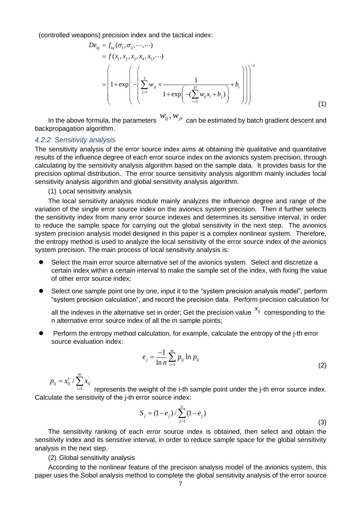(controlled weapons) precision index and the tactical index:

\n
$$
De_{ky} = f_{ky}(\sigma_1, \sigma_2, \dots, \dots)
$$
\n
$$
= f(x_1, x_2, x_3, x_4, x_5, \dots)
$$
\n
$$
= \left(1 + \exp\left(-\left(\sum_{j=1}^3 w_{jr} \times \frac{1}{1 + \exp\left(-(\sum_{i=1}^{37} w_{ij} x_i + b_j)\right)} + b_r\right)\right)\right)^{-1}
$$
\n(1)

In the above formula, the parameters  $\frac{W_{ij},W_{jr}}{k}$  can be estimated by batch gradient descent and backpropagation algorithm.

#### *4.2.2 Sensitivity analysis*

The sensitivity analysis of the error source index aims at obtaining the qualitative and quantitative results of the influence degree of each error source index on the avionics system precision, through calculating by the sensitivity analysis algorithm based on the sample data. It provides basis for the precision optimal distribution. The error source sensitivity analysis algorithm mainly includes local sensitivity analysis algorithm and global sensitivity analysis algorithm.

(1) Local sensitivity analysis

The local sensitivity analysis module mainly analyzes the influence degree and range of the variation of the single error source index on the avionics system precision. Then it further selects the sensitivity index from many error source indexes and determines its sensitive interval, in order to reduce the sample space for carrying out the global sensitivity in the next step. The avionics system precision analysis model designed in this paper is a complex nonlinear system. Therefore, the entropy method is used to analyze the local sensitivity of the error source index of the avionics system precision. The main process of local sensitivity analysis is:

- ⚫ Select the main error source alternative set of the avionics system. Select and discretize a certain index within a certain interval to make the sample set of the index, with fixing the value of other error source index;
- Select one sample point one by one, input it to the "system precision analysis model", perform "system precision calculation", and record the precision data. Perform precision calculation for

all the indexes in the alternative set in order; Get the precision value  $\frac{x_{ij}}{x_{ij}}$  corresponding to the n alternative error source index of all the m sample points;

⚫ Perform the entropy method calculation, for example, calculate the entropy of the j-th error source evaluation index:

$$
e_j = \frac{-1}{\ln n} \sum_{i=1}^{m} p_{ij} \ln p_{ij}
$$
 (2)

' / *m ij ij ij*  $p_{ii} = x'_{ii} / \sum_{i} x_{i}$  $=x'_{ij} / \sum$ 

1 *i* = represents the weight of the i-th sample point under the j-th error source index. Calculate the sensitivity of the j-th error source index:

$$
S_j = (1 - e_j) / \sum_{j=1}^{n} (1 - e_j)
$$
\n(3)

The sensitivity ranking of each error source index is obtained, then select and obtain the sensitivity index and its sensitive interval, in order to reduce sample space for the global sensitivity analysis in the next step.

(2) Global sensitivity analysis

According to the nonlinear feature of the precision analysis model of the avionics system, this paper uses the Sobol analysis method to complete the global sensitivity analysis of the error source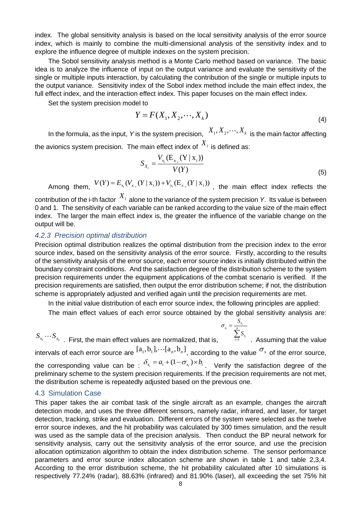index. The global sensitivity analysis is based on the local sensitivity analysis of the error source index, which is mainly to combine the multi-dimensional analysis of the sensitivity index and to explore the influence degree of multiple indexes on the system precision.

The Sobol sensitivity analysis method is a Monte Carlo method based on variance. The basic idea is to analyze the influence of input on the output variance and evaluate the sensitivity of the single or multiple inputs interaction, by calculating the contribution of the single or multiple inputs to the output variance. Sensitivity index of the Sobol index method include the main effect index, the full effect index, and the interaction effect index. This paper focuses on the main effect index.

Set the system precision model to

$$
Y = F(X_1, X_2, \cdots, X_k)
$$
\n<sup>(4)</sup>

In the formula, as the input, Y is the system precision,  $\ X_1, X_2, \cdots, X_k\,$  is the main factor affecting the avionics system precision. The main effect index of  $^{\vphantom{1}X_i}$  is defined as:

$$
S_{X_i} = \frac{V_{X_i} (E_{X_{i,i}} (Y | X_i))}{V(Y)}
$$
\n(5)

*S*

 $\sigma$ 

 $V(Y)$ <br>Among them,  $V(Y) = E_{x_i}(V_{x_{-i}}(Y | x_i)) + V_{x_i}(E_{x_{-i}}(Y | x_i))$ , the main effect index reflects the

contribution of the i-th factor  $\,X_i\,$  alone to the variance of the system precision *Y*. Its value is between 0 and 1. The sensitivity of each variable can be ranked according to the value size of the main effect index. The larger the main effect index is, the greater the influence of the variable change on the output will be.

#### *4.2.3 Precision optimal distribution*

Precision optimal distribution realizes the optimal distribution from the precision index to the error source index, based on the sensitivity analysis of the error source. Firstly, according to the results of the sensitivity analysis of the error source, each error source index is initially distributed within the boundary constraint conditions. And the satisfaction degree of the distribution scheme to the system precision requirements under the equipment applications of the combat scenario is verified. If the precision requirements are satisfied, then output the error distribution scheme; if not, the distribution scheme is appropriately adjusted and verified again until the precision requirements are met.

In the initial value distribution of each error source index, the following principles are applied:

The main effect values of each error source obtained by the global sensitivity analysis are:

 $S_{x_1}\cdots S_{x_n}$  . First, the main effect values are normalized, that is,  $\overbrace{\phantom{S_{x_n}}}^{\text{max}}$  $\frac{1}{i} = \frac{x_i}{n}$ *i*  $\frac{a}{x_i} = \frac{b}{n}$  $\sum_{i=1}^{\infty}$ *S* = =  $\sum_{i}$ . Assuming that the value intervals of each error source are  $[a_1,b_1]$ ,  $\cdots$   $[a_n,b_n]$ <sub>, according to the value  $\sigma_x$  of the error source,</sub> the corresponding value can be :  $\delta_{x_i} = a_i + (1 - \sigma_{x_i}) \times b_i$ . Verify the satisfaction degree of the preliminary scheme to the system precision requirements. If the precision requirements are not met, the distribution scheme is repeatedly adjusted based on the previous one.

### 4.3 Simulation Case

This paper takes the air combat task of the single aircraft as an example, changes the aircraft detection mode, and uses the three different sensors, namely radar, infrared, and laser, for target detection, tracking, strike and evaluation. Different errors of the system were selected as the twelve error source indexes, and the hit probability was calculated by 300 times simulation, and the result was used as the sample data of the precision analysis. Then conduct the BP neural network for sensitivity analysis, carry out the sensitivity analysis of the error source, and use the precision allocation optimization algorithm to obtain the index distribution scheme. The sensor performance parameters and error source index allocation scheme are shown in table 1 and table 2,3,4. According to the error distribution scheme, the hit probability calculated after 10 simulations is respectively 77.24% (radar), 88.63% (infrared) and 81.90% (laser), all exceeding the set 75% hit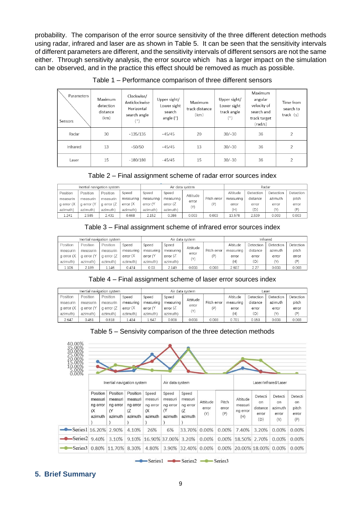probability. The comparison of the error source sensitivity of the three different detection methods using radar, infrared and laser are as shown in Table 5. It can be seen that the sensitivity intervals of different parameters are different, and the sensitivity intervals of different sensors are not the same either. Through sensitivity analysis, the error source which has a larger impact on the simulation can be observed, and in the practice this effect should be removed as much as possible.

| Parameters<br>Sensors | Maximum<br>detection<br>distance<br>(km) | Clockwise/<br>Anticlockwise<br>Horizontal<br>search angle<br>$(^\circ)$ | Upper sight/<br>Lower sight<br>search<br>angle $(°)$ | Maximum<br>track distance<br>(km) | Upper sight/<br>Lower sight<br>track angle<br>(°) | Maximum<br>angular<br>velocity of<br>search and<br>track target<br>(rad/s) | Time from<br>search to<br>track $(s)$ |
|-----------------------|------------------------------------------|-------------------------------------------------------------------------|------------------------------------------------------|-----------------------------------|---------------------------------------------------|----------------------------------------------------------------------------|---------------------------------------|
| Radar                 | 30                                       | $-135/135$                                                              | $-45/45$                                             | 20                                | $30/-30$                                          | 36                                                                         | 2                                     |
| Infrared              | 13                                       | $-50/50$                                                                | $-45/45$                                             | 13                                | $30/-30$                                          | 36                                                                         | $\overline{2}$                        |
| Laser                 | 15                                       | $-180/180$                                                              | $-45/45$                                             | 15                                | $30/-30$                                          | 36                                                                         | 2                                     |

Table 1 – Performance comparison of three different sensors

Table 2 – Final assignment scheme of radar error sources index

| Inertial navigation system |            |            |           |           | Air data system |          | Radar       |           |           |           |           |
|----------------------------|------------|------------|-----------|-----------|-----------------|----------|-------------|-----------|-----------|-----------|-----------|
| Position                   | Position   | Position   | Speed     | Speed     | Speed           | Attitude |             | Altitude  | Detection | Detection | Detection |
| measurin                   | measurin   | measurin   | measuring | measuring | measuring       | error    | Pitch error | measuring | distance  | azimuth   | pitch     |
| g error (X                 | g error (Y | g error (Z | error (X  | error (Y  | error $(Z$      | (Y)      | (P)         | error     | error     | error     | error     |
| azimuth)                   | azimuth)   | azimuth)   | azimuth)  | azimuth)  | azimuth)        |          |             | (H)       | (D)       | (Y)       | (P)       |
| 1.241                      | 2.585      | 2.431      | 0.668     | 2.152     | 0.386           | 0.003    | 0.003       | 13.578    | 2.539     | 0.003     | 0.003     |

Table 3 – Final assignment scheme of infrared error sources index

| Inertial navigation system |            |            |           |           | Air data system |          | Infrared    |           |           |           |           |
|----------------------------|------------|------------|-----------|-----------|-----------------|----------|-------------|-----------|-----------|-----------|-----------|
| Position                   | Position   | Position   | Speed     | Speed     | Speed           | Attitude |             | Altitude  | Detection | Detection | Detection |
| measurin                   | measurin   | measurin   | measuring | measuring | measuring       | error    | Pitch error | measuring | distance  | azimuth   | pitch     |
| a error (X                 | a error (Y | a error (Z | error (X  | error (Y  | error $(Z$      | (Y)      | (P)         | error     | error     | error     | error     |
| azimuth)                   | azimuth)   | azimuth)   | azimuth)  | azimuth)  | azimuth)        |          |             | (H)       | (D)       | (Y)       | (P)       |
| 1.106                      | 2.189      | 1.146      | 0.474     | 0.03      | 2.149           | 0.003    | 0.003       | 2.607     | 2.27      | 0.003     | 0.003     |

Table 4 – Final assignment scheme of laser error sources index

| Inertial navigation system |            |            |           |           |             | Air data system        |             | Laser     |           |           |           |  |
|----------------------------|------------|------------|-----------|-----------|-------------|------------------------|-------------|-----------|-----------|-----------|-----------|--|
| Position                   | Position   | Position   | Speed     | Speed     | Speed       | Attitude<br>error<br>M |             | Altitude  | Detection | Detection | Detection |  |
| measurin                   | measurin   | measurin   | measuring | measuring | measuring   |                        | Pitch error | measuring | distance  | azimuth   | pitch     |  |
| g error (X                 | a error (Y | g error (Z | error(X)  | error (Y  | error $(Z)$ |                        | (D)         | error     | error     | error     | error     |  |
| azimuth)                   | azimuth)   | azimuth)   | azimuth)  | azimuth)  | azimuth)    |                        |             | (H)       | (D)       | (Y)       | (P)       |  |
| 2.647                      | 0.461      | 0.818      | .434      | 1.647     | 0.008       | 0.003                  | 0.003       | 0.701     | 0.153     | 0.003     | 0.003     |  |



| 40.00%<br>$^{00}_{00}$<br>$0.00\%$ |                                                   |                                                   |                                                   |                                                |                                                     |                                                |                          |                       |                                        |                                            |                                          |                                               |
|------------------------------------|---------------------------------------------------|---------------------------------------------------|---------------------------------------------------|------------------------------------------------|-----------------------------------------------------|------------------------------------------------|--------------------------|-----------------------|----------------------------------------|--------------------------------------------|------------------------------------------|-----------------------------------------------|
|                                    |                                                   | Inertial navigation system                        |                                                   |                                                | Air data system                                     |                                                |                          |                       | Laser/Infrared/Laser                   |                                            |                                          |                                               |
|                                    | Position<br>measuri<br>ng error<br>(X)<br>azimuth | Position<br>measuri<br>ng error<br>(Y)<br>azimuth | Position<br>measuri<br>ng error<br>(Z)<br>azimuth | Speed<br>measuri<br>ng error<br>(X)<br>azimuth | Speed<br>measuri<br>ng error<br>$\alpha$<br>azimuth | Speed<br>measuri<br>ng error<br>(Z)<br>azimuth | Attitude<br>error<br>(Y) | Pitch<br>error<br>(P) | Altitude<br>measuri<br>ng error<br>(H) | Detecti<br>on.<br>distance<br>error<br>(D) | Detecti<br>on<br>azimuth<br>error<br>(Y) | Detecti<br><b>on</b><br>pitch<br>error<br>(P) |
| Series1 16.20% 2.90%               |                                                   |                                                   | 4.10%                                             | 26%                                            | 6%                                                  | 33.70%                                         | 0.00%                    | $0.00\%$              | 7.40%                                  | 3.20%                                      | $0.00\%$                                 | 0.00%                                         |
| -Series2                           | 9.40%                                             | 3.10%                                             | 9.10%                                             | 16.90% 37.00% 3.20%                            |                                                     |                                                | 0.00%                    | 0.00%                 | 18.50% 2.70%                           |                                            | 0.00%                                    | 0.00%                                         |
| Series3                            |                                                   | 0.80% 11.70% 8.30%                                |                                                   | 4.80%                                          | 3.90%                                               | 32.40% 0.00%                                   |                          | $0.00\%$              | 20,00% 18,00% 0,00%                    |                                            |                                          | 0.00%                                         |

Series1 - Series2 - Series3

# **5. Brief Summary**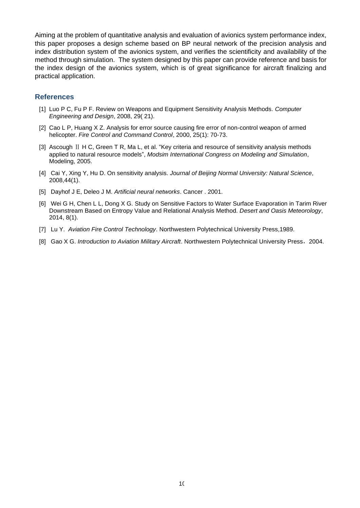Aiming at the problem of quantitative analysis and evaluation of avionics system performance index, this paper proposes a design scheme based on BP neural network of the precision analysis and index distribution system of the avionics system, and verifies the scientificity and availability of the method through simulation. The system designed by this paper can provide reference and basis for the index design of the avionics system, which is of great significance for aircraft finalizing and practical application.

### **References**

- [1] Luo P C, Fu P F. Review on Weapons and Equipment Sensitivity Analysis Methods. *Computer Engineering and Design*, 2008, 29( 21).
- [2] Cao L P, Huang X Z. Analysis for error source causing fire error of non-control weapon of armed helicopter. *Fire Control and Command Control*, 2000, 25(1): 70-73.
- [3] Ascough II H C, Green T R, Ma L, et al. "Key criteria and resource of sensitivity analysis methods applied to natural resource models", *Modsim International Congress on Modeling and Simulation*, Modeling, 2005.
- [4] Cai Y, Xing Y, Hu D. On sensitivity analysis. *Journal of Beijing Normal University: Natural Science*, 2008,44(1).
- [5] Dayhof J E, Deleo J M. *Artificial neural networks*. Cancer . 2001.
- [6] Wei G H, Chen L L, Dong X G. Study on Sensitive Factors to Water Surface Evaporation in Tarim River Downstream Based on Entropy Value and Relational Analysis Method. *Desert and Oasis Meteorology*, 2014, 8(1).
- [7] Lu Y. *Aviation Fire Control Technology*. Northwestern Polytechnical University Press,1989.
- [8] Gao X G. *Introduction to Aviation Military Aircraft*. Northwestern Polytechnical University Press, 2004.